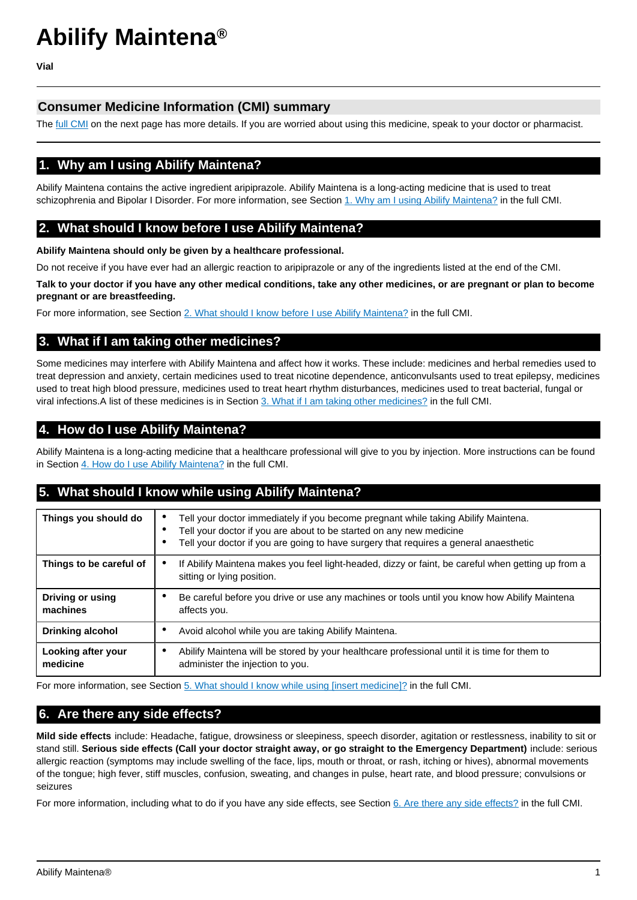# **Abilify Maintena®**

**Vial**

## **Consumer Medicine Information (CMI) summary**

The [full CMI](#page-1-0) on the next page has more details. If you are worried about using this medicine, speak to your doctor or pharmacist.

# **1. Why am I using Abilify Maintena?**

Abilify Maintena contains the active ingredient aripiprazole. Abilify Maintena is a long-acting medicine that is used to treat schizophrenia and Bipolar I Disorder. For more information, see Section [1. Why am I using Abilify Maintena?](#page-1-1) in the full CMI.

# **2. What should I know before I use Abilify Maintena?**

**Abilify Maintena should only be given by a healthcare professional.**

Do not receive if you have ever had an allergic reaction to aripiprazole or any of the ingredients listed at the end of the CMI.

**Talk to your doctor if you have any other medical conditions, take any other medicines, or are pregnant or plan to become pregnant or are breastfeeding.**

For more information, see Section [2. What should I know before I use Abilify Maintena?](#page-1-2) in the full CMI.

## **3. What if I am taking other medicines?**

Some medicines may interfere with Abilify Maintena and affect how it works. These include: medicines and herbal remedies used to treat depression and anxiety, certain medicines used to treat nicotine dependence, anticonvulsants used to treat epilepsy, medicines used to treat high blood pressure, medicines used to treat heart rhythm disturbances, medicines used to treat bacterial, fungal or viral infections.A list of these medicines is in Section [3. What if I am taking other medicines?](#page-2-0) in the full CMI.

# **4. How do I use Abilify Maintena?**

Abilify Maintena is a long-acting medicine that a healthcare professional will give to you by injection. More instructions can be found in Section [4. How do I use Abilify Maintena?](#page-2-1) in the full CMI.

# **5. What should I know while using Abilify Maintena?**

| Things you should do           | Tell your doctor immediately if you become pregnant while taking Abilify Maintena.<br>Tell your doctor if you are about to be started on any new medicine<br>Tell your doctor if you are going to have surgery that requires a general anaesthetic |
|--------------------------------|----------------------------------------------------------------------------------------------------------------------------------------------------------------------------------------------------------------------------------------------------|
| Things to be careful of        | If Abilify Maintena makes you feel light-headed, dizzy or faint, be careful when getting up from a<br>sitting or lying position.                                                                                                                   |
| Driving or using<br>machines   | Be careful before you drive or use any machines or tools until you know how Abilify Maintena<br>affects you.                                                                                                                                       |
| <b>Drinking alcohol</b>        | Avoid alcohol while you are taking Abilify Maintena.                                                                                                                                                                                               |
| Looking after your<br>medicine | Abilify Maintena will be stored by your healthcare professional until it is time for them to<br>administer the injection to you.                                                                                                                   |

For more information, see Section [5. What should I know while using \[insert medicine\]?](#page-2-2) in the full CMI.

# **6. Are there any side effects?**

**Mild side effects** include: Headache, fatigue, drowsiness or sleepiness, speech disorder, agitation or restlessness, inability to sit or stand still. **Serious side effects (Call your doctor straight away, or go straight to the Emergency Department)** include: serious allergic reaction (symptoms may include swelling of the face, lips, mouth or throat, or rash, itching or hives), abnormal movements of the tongue; high fever, stiff muscles, confusion, sweating, and changes in pulse, heart rate, and blood pressure; convulsions or seizures

For more information, including what to do if you have any side effects, see Section [6. Are there any side effects?](#page-3-0) in the full CMI.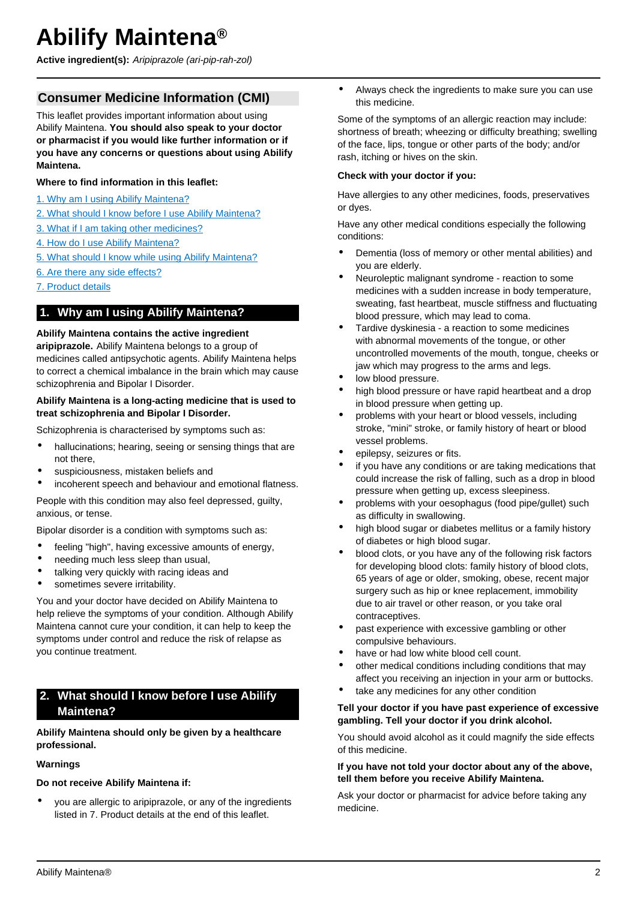# <span id="page-1-0"></span>**Abilify Maintena®**

**Active ingredient(s):** Aripiprazole (ari-pip-rah-zol)

# **Consumer Medicine Information (CMI)**

This leaflet provides important information about using Abilify Maintena. **You should also speak to your doctor or pharmacist if you would like further information or if you have any concerns or questions about using Abilify Maintena.**

## **Where to find information in this leaflet:**

- [1. Why am I using Abilify Maintena?](#page-1-1)
- [2. What should I know before I use Abilify Maintena?](#page-1-2)
- [3. What if I am taking other medicines?](#page-2-0)
- [4. How do I use Abilify Maintena?](#page-2-1)
- [5. What should I know while using Abilify Maintena?](#page-2-2)
- [6. Are there any side effects?](#page-3-0)
- [7. Product details](#page-4-0)

## <span id="page-1-1"></span>**1. Why am I using Abilify Maintena?**

## **Abilify Maintena contains the active ingredient**

**aripiprazole.** Abilify Maintena belongs to a group of medicines called antipsychotic agents. Abilify Maintena helps to correct a chemical imbalance in the brain which may cause schizophrenia and Bipolar I Disorder.

#### **Abilify Maintena is a long-acting medicine that is used to treat schizophrenia and Bipolar I Disorder.**

Schizophrenia is characterised by symptoms such as:

- hallucinations; hearing, seeing or sensing things that are not there,
- suspiciousness, mistaken beliefs and
- incoherent speech and behaviour and emotional flatness.

People with this condition may also feel depressed, quilty, anxious, or tense.

Bipolar disorder is a condition with symptoms such as:

- feeling "high", having excessive amounts of energy,
- needing much less sleep than usual,
- talking very quickly with racing ideas and
- sometimes severe irritability.

You and your doctor have decided on Abilify Maintena to help relieve the symptoms of your condition. Although Abilify Maintena cannot cure your condition, it can help to keep the symptoms under control and reduce the risk of relapse as you continue treatment.

# <span id="page-1-2"></span>**2. What should I know before I use Abilify Maintena?**

## **Abilify Maintena should only be given by a healthcare professional.**

#### **Warnings**

**Do not receive Abilify Maintena if:**

• you are allergic to aripiprazole, or any of the ingredients listed in 7. Product details at the end of this leaflet.

• Always check the ingredients to make sure you can use this medicine.

Some of the symptoms of an allergic reaction may include: shortness of breath; wheezing or difficulty breathing; swelling of the face, lips, tongue or other parts of the body; and/or rash, itching or hives on the skin.

#### **Check with your doctor if you:**

Have allergies to any other medicines, foods, preservatives or dyes.

Have any other medical conditions especially the following conditions:

- Dementia (loss of memory or other mental abilities) and you are elderly.
- Neuroleptic malignant syndrome reaction to some medicines with a sudden increase in body temperature, sweating, fast heartbeat, muscle stiffness and fluctuating blood pressure, which may lead to coma.
- Tardive dyskinesia a reaction to some medicines with abnormal movements of the tongue, or other uncontrolled movements of the mouth, tongue, cheeks or jaw which may progress to the arms and legs.
- low blood pressure.
- high blood pressure or have rapid heartbeat and a drop in blood pressure when getting up.
- problems with your heart or blood vessels, including stroke, "mini" stroke, or family history of heart or blood vessel problems.
- epilepsy, seizures or fits.
- if you have any conditions or are taking medications that could increase the risk of falling, such as a drop in blood pressure when getting up, excess sleepiness.
- problems with your oesophagus (food pipe/gullet) such as difficulty in swallowing.
- high blood sugar or diabetes mellitus or a family history of diabetes or high blood sugar.
- blood clots, or you have any of the following risk factors for developing blood clots: family history of blood clots, 65 years of age or older, smoking, obese, recent major surgery such as hip or knee replacement, immobility due to air travel or other reason, or you take oral contraceptives.
- past experience with excessive gambling or other compulsive behaviours.
- have or had low white blood cell count.
- other medical conditions including conditions that may affect you receiving an injection in your arm or buttocks.
- take any medicines for any other condition

#### **Tell your doctor if you have past experience of excessive gambling. Tell your doctor if you drink alcohol.**

You should avoid alcohol as it could magnify the side effects of this medicine.

#### **If you have not told your doctor about any of the above, tell them before you receive Abilify Maintena.**

Ask your doctor or pharmacist for advice before taking any medicine.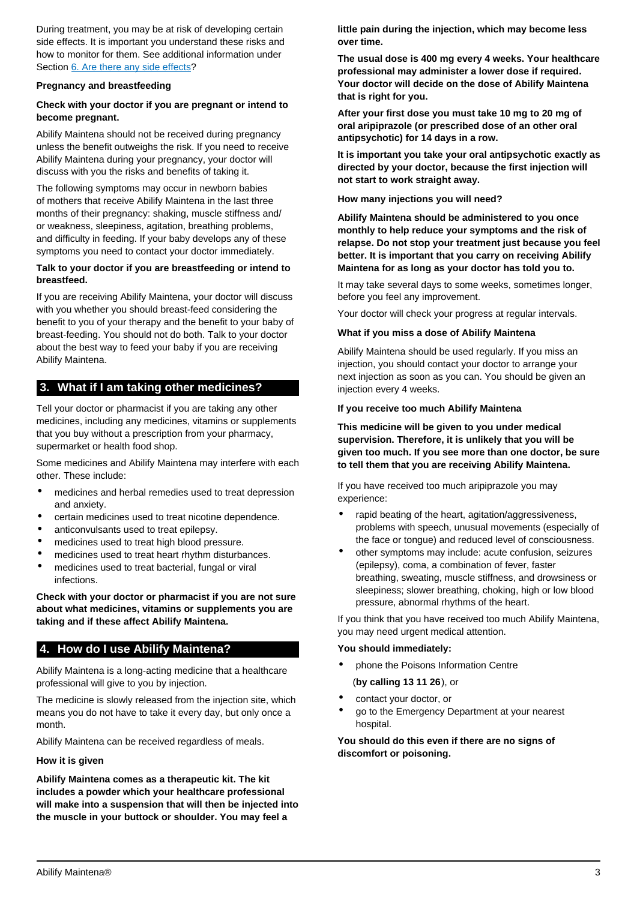During treatment, you may be at risk of developing certain side effects. It is important you understand these risks and how to monitor for them. See additional information under Section [6. Are there any side effects?](#page-3-0)

#### **Pregnancy and breastfeeding**

### **Check with your doctor if you are pregnant or intend to become pregnant.**

Abilify Maintena should not be received during pregnancy unless the benefit outweighs the risk. If you need to receive Abilify Maintena during your pregnancy, your doctor will discuss with you the risks and benefits of taking it.

The following symptoms may occur in newborn babies of mothers that receive Abilify Maintena in the last three months of their pregnancy: shaking, muscle stiffness and/ or weakness, sleepiness, agitation, breathing problems, and difficulty in feeding. If your baby develops any of these symptoms you need to contact your doctor immediately.

#### **Talk to your doctor if you are breastfeeding or intend to breastfeed.**

If you are receiving Abilify Maintena, your doctor will discuss with you whether you should breast-feed considering the benefit to you of your therapy and the benefit to your baby of breast-feeding. You should not do both. Talk to your doctor about the best way to feed your baby if you are receiving Abilify Maintena.

## <span id="page-2-0"></span>**3. What if I am taking other medicines?**

Tell your doctor or pharmacist if you are taking any other medicines, including any medicines, vitamins or supplements that you buy without a prescription from your pharmacy, supermarket or health food shop.

Some medicines and Abilify Maintena may interfere with each other. These include:

- medicines and herbal remedies used to treat depression and anxiety.
- certain medicines used to treat nicotine dependence.
- anticonvulsants used to treat epilepsy.
- medicines used to treat high blood pressure.
- medicines used to treat heart rhythm disturbances.
- medicines used to treat bacterial, fungal or viral infections.

**Check with your doctor or pharmacist if you are not sure about what medicines, vitamins or supplements you are taking and if these affect Abilify Maintena.**

## <span id="page-2-1"></span>**4. How do I use Abilify Maintena?**

Abilify Maintena is a long-acting medicine that a healthcare professional will give to you by injection.

The medicine is slowly released from the injection site, which means you do not have to take it every day, but only once a month.

Abilify Maintena can be received regardless of meals.

#### **How it is given**

**Abilify Maintena comes as a therapeutic kit. The kit includes a powder which your healthcare professional will make into a suspension that will then be injected into the muscle in your buttock or shoulder. You may feel a**

**little pain during the injection, which may become less over time.**

**The usual dose is 400 mg every 4 weeks. Your healthcare professional may administer a lower dose if required. Your doctor will decide on the dose of Abilify Maintena that is right for you.**

**After your first dose you must take 10 mg to 20 mg of oral aripiprazole (or prescribed dose of an other oral antipsychotic) for 14 days in a row.**

**It is important you take your oral antipsychotic exactly as directed by your doctor, because the first injection will not start to work straight away.**

**How many injections you will need?**

**Abilify Maintena should be administered to you once monthly to help reduce your symptoms and the risk of relapse. Do not stop your treatment just because you feel better. It is important that you carry on receiving Abilify Maintena for as long as your doctor has told you to.**

It may take several days to some weeks, sometimes longer, before you feel any improvement.

Your doctor will check your progress at regular intervals.

#### **What if you miss a dose of Abilify Maintena**

Abilify Maintena should be used regularly. If you miss an injection, you should contact your doctor to arrange your next injection as soon as you can. You should be given an injection every 4 weeks.

#### **If you receive too much Abilify Maintena**

**This medicine will be given to you under medical supervision. Therefore, it is unlikely that you will be given too much. If you see more than one doctor, be sure to tell them that you are receiving Abilify Maintena.**

If you have received too much aripiprazole you may experience:

- rapid beating of the heart, agitation/aggressiveness, problems with speech, unusual movements (especially of the face or tongue) and reduced level of consciousness.
- other symptoms may include: acute confusion, seizures (epilepsy), coma, a combination of fever, faster breathing, sweating, muscle stiffness, and drowsiness or sleepiness; slower breathing, choking, high or low blood pressure, abnormal rhythms of the heart.

If you think that you have received too much Abilify Maintena, you may need urgent medical attention.

#### **You should immediately:**

• phone the Poisons Information Centre

(**by calling 13 11 26**), or

- contact your doctor, or
- go to the Emergency Department at your nearest hospital.

<span id="page-2-2"></span>**You should do this even if there are no signs of discomfort or poisoning.**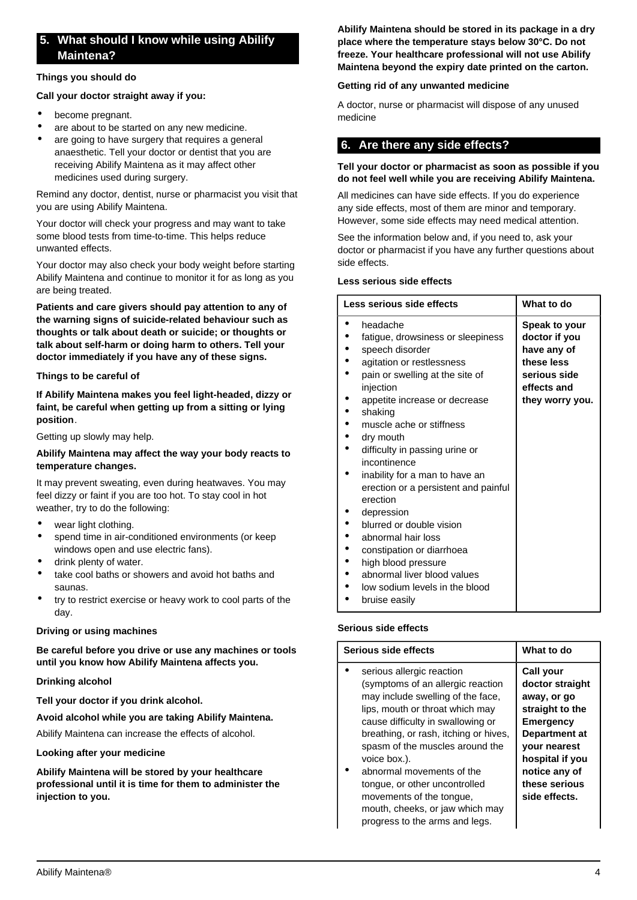# **5. What should I know while using Abilify Maintena?**

#### **Things you should do**

#### **Call your doctor straight away if you:**

- become pregnant.
- are about to be started on any new medicine.
- are going to have surgery that requires a general anaesthetic. Tell your doctor or dentist that you are receiving Abilify Maintena as it may affect other medicines used during surgery.

Remind any doctor, dentist, nurse or pharmacist you visit that you are using Abilify Maintena.

Your doctor will check your progress and may want to take some blood tests from time-to-time. This helps reduce unwanted effects.

Your doctor may also check your body weight before starting Abilify Maintena and continue to monitor it for as long as you are being treated.

**Patients and care givers should pay attention to any of the warning signs of suicide-related behaviour such as thoughts or talk about death or suicide; or thoughts or talk about self-harm or doing harm to others. Tell your doctor immediately if you have any of these signs.**

#### **Things to be careful of**

**If Abilify Maintena makes you feel light-headed, dizzy or faint, be careful when getting up from a sitting or lying position**.

Getting up slowly may help.

#### **Abilify Maintena may affect the way your body reacts to temperature changes.**

It may prevent sweating, even during heatwaves. You may feel dizzy or faint if you are too hot. To stay cool in hot weather, try to do the following:

- wear light clothing.
- spend time in air-conditioned environments (or keep windows open and use electric fans).
- drink plenty of water.
- take cool baths or showers and avoid hot baths and saunas.
- try to restrict exercise or heavy work to cool parts of the day.

#### **Driving or using machines**

**Be careful before you drive or use any machines or tools until you know how Abilify Maintena affects you.**

#### **Drinking alcohol**

**Tell your doctor if you drink alcohol.**

#### **Avoid alcohol while you are taking Abilify Maintena.**

Abilify Maintena can increase the effects of alcohol.

#### **Looking after your medicine**

**Abilify Maintena will be stored by your healthcare professional until it is time for them to administer the injection to you.**

**Abilify Maintena should be stored in its package in a dry place where the temperature stays below 30°C. Do not freeze. Your healthcare professional will not use Abilify Maintena beyond the expiry date printed on the carton.**

#### **Getting rid of any unwanted medicine**

A doctor, nurse or pharmacist will dispose of any unused medicine

## <span id="page-3-0"></span>**6. Are there any side effects?**

#### **Tell your doctor or pharmacist as soon as possible if you do not feel well while you are receiving Abilify Maintena.**

All medicines can have side effects. If you do experience any side effects, most of them are minor and temporary. However, some side effects may need medical attention.

See the information below and, if you need to, ask your doctor or pharmacist if you have any further questions about side effects.

#### **Less serious side effects**

| Less serious side effects                                                                                                                                                                                                                                                                                                                                                                                                                                                                                                                                                        | What to do                                                                                                           |
|----------------------------------------------------------------------------------------------------------------------------------------------------------------------------------------------------------------------------------------------------------------------------------------------------------------------------------------------------------------------------------------------------------------------------------------------------------------------------------------------------------------------------------------------------------------------------------|----------------------------------------------------------------------------------------------------------------------|
| headache<br>fatigue, drowsiness or sleepiness<br>speech disorder<br>agitation or restlessness<br>pain or swelling at the site of<br>injection<br>appetite increase or decrease<br>shaking<br>muscle ache or stiffness<br>dry mouth<br>difficulty in passing urine or<br>incontinence<br>inability for a man to have an<br>erection or a persistent and painful<br>erection<br>depression<br>blurred or double vision<br>abnormal hair loss<br>constipation or diarrhoea<br>high blood pressure<br>abnormal liver blood values<br>low sodium levels in the blood<br>bruise easily | <b>Speak to your</b><br>doctor if you<br>have any of<br>these less<br>serious side<br>effects and<br>they worry you. |

#### **Serious side effects**

| Serious side effects                                                                                                                                                        | What to do                                                                         |
|-----------------------------------------------------------------------------------------------------------------------------------------------------------------------------|------------------------------------------------------------------------------------|
| serious allergic reaction<br>(symptoms of an allergic reaction<br>may include swelling of the face,<br>lips, mouth or throat which may<br>cause difficulty in swallowing or | Call your<br>doctor straight<br>away, or go<br>straight to the<br><b>Emergency</b> |
| breathing, or rash, itching or hives,<br>spasm of the muscles around the<br>voice box.).                                                                                    | Department at<br><b>vour nearest</b><br>hospital if you                            |
| abnormal movements of the<br>tongue, or other uncontrolled<br>movements of the tongue,                                                                                      | notice any of<br>these serious<br>side effects.                                    |

mouth, cheeks, or jaw which may progress to the arms and legs.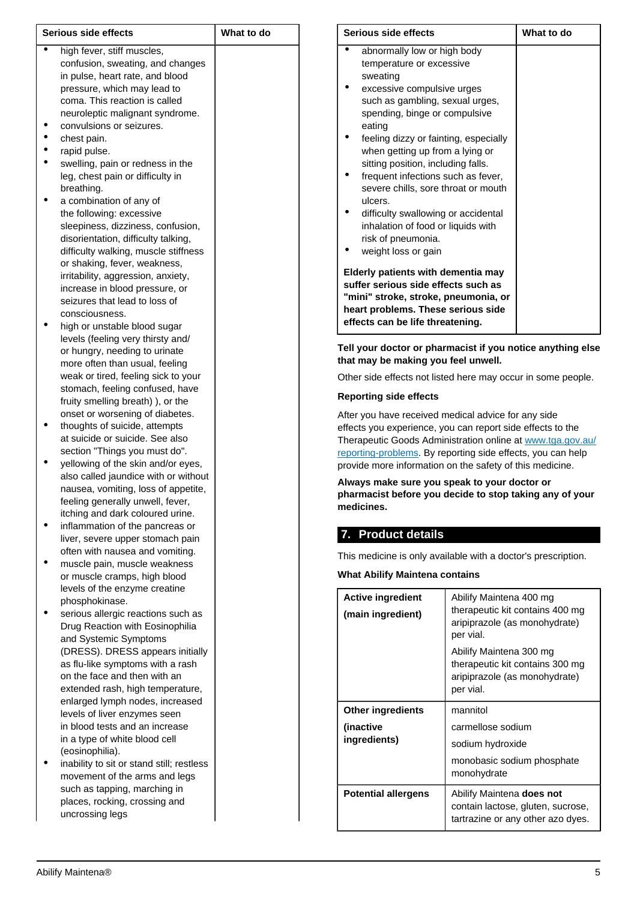| Serious side effects |                                           | What to do |  |
|----------------------|-------------------------------------------|------------|--|
|                      | high fever, stiff muscles,                |            |  |
|                      | confusion, sweating, and changes          |            |  |
|                      | in pulse, heart rate, and blood           |            |  |
|                      | pressure, which may lead to               |            |  |
|                      | coma. This reaction is called             |            |  |
|                      | neuroleptic malignant syndrome.           |            |  |
|                      | convulsions or seizures.                  |            |  |
|                      | chest pain.                               |            |  |
|                      | rapid pulse.                              |            |  |
|                      | swelling, pain or redness in the          |            |  |
|                      | leg, chest pain or difficulty in          |            |  |
|                      | breathing.                                |            |  |
|                      | a combination of any of                   |            |  |
|                      | the following: excessive                  |            |  |
|                      | sleepiness, dizziness, confusion,         |            |  |
|                      | disorientation, difficulty talking,       |            |  |
|                      | difficulty walking, muscle stiffness      |            |  |
|                      | or shaking, fever, weakness,              |            |  |
|                      | irritability, aggression, anxiety,        |            |  |
|                      | increase in blood pressure, or            |            |  |
|                      | seizures that lead to loss of             |            |  |
|                      | consciousness.                            |            |  |
|                      | high or unstable blood sugar              |            |  |
|                      | levels (feeling very thirsty and/         |            |  |
|                      | or hungry, needing to urinate             |            |  |
|                      | more often than usual, feeling            |            |  |
|                      | weak or tired, feeling sick to your       |            |  |
|                      | stomach, feeling confused, have           |            |  |
|                      | fruity smelling breath) ), or the         |            |  |
|                      | onset or worsening of diabetes.           |            |  |
|                      | thoughts of suicide, attempts             |            |  |
|                      | at suicide or suicide. See also           |            |  |
|                      | section "Things you must do".             |            |  |
|                      | yellowing of the skin and/or eyes,        |            |  |
|                      | also called jaundice with or without      |            |  |
|                      | nausea, vomiting, loss of appetite,       |            |  |
|                      | feeling generally unwell, fever,          |            |  |
|                      | itching and dark coloured urine.          |            |  |
|                      | inflammation of the pancreas or           |            |  |
|                      | liver, severe upper stomach pain          |            |  |
|                      | often with nausea and vomiting.           |            |  |
|                      | muscle pain, muscle weakness              |            |  |
|                      | or muscle cramps, high blood              |            |  |
|                      | levels of the enzyme creatine             |            |  |
|                      | phosphokinase.                            |            |  |
|                      | serious allergic reactions such as        |            |  |
|                      | Drug Reaction with Eosinophilia           |            |  |
|                      | and Systemic Symptoms                     |            |  |
|                      | (DRESS). DRESS appears initially          |            |  |
|                      | as flu-like symptoms with a rash          |            |  |
|                      | on the face and then with an              |            |  |
|                      | extended rash, high temperature,          |            |  |
|                      | enlarged lymph nodes, increased           |            |  |
|                      | levels of liver enzymes seen              |            |  |
|                      | in blood tests and an increase            |            |  |
|                      | in a type of white blood cell             |            |  |
|                      | (eosinophilia).                           |            |  |
|                      | inability to sit or stand still; restless |            |  |
|                      | movement of the arms and legs             |            |  |
|                      | such as tapping, marching in              |            |  |
|                      | places, rocking, crossing and             |            |  |
|                      | uncrossing legs                           |            |  |

| Serious side effects                                                                                                                                                                                                                                                                                                                                                                                                                                                                                                | What to do |  |
|---------------------------------------------------------------------------------------------------------------------------------------------------------------------------------------------------------------------------------------------------------------------------------------------------------------------------------------------------------------------------------------------------------------------------------------------------------------------------------------------------------------------|------------|--|
| abnormally low or high body<br>temperature or excessive<br>sweating<br>excessive compulsive urges<br>such as gambling, sexual urges,<br>spending, binge or compulsive<br>eating<br>feeling dizzy or fainting, especially<br>when getting up from a lying or<br>sitting position, including falls.<br>frequent infections such as fever,<br>severe chills, sore throat or mouth<br>ulcers.<br>difficulty swallowing or accidental<br>inhalation of food or liquids with<br>risk of pneumonia.<br>weight loss or gain |            |  |
| Elderly patients with dementia may<br>suffer serious side effects such as<br>"mini" stroke, stroke, pneumonia, or<br>heart problems. These serious side<br>effects can be life threatening.                                                                                                                                                                                                                                                                                                                         |            |  |

**Tell your doctor or pharmacist if you notice anything else that may be making you feel unwell.**

Other side effects not listed here may occur in some people.

#### **Reporting side effects**

After you have received medical advice for any side effects you experience, you can report side effects to the Therapeutic Goods Administration online at [www.tga.gov.au/](http://www.tga.gov.au/reporting-problems) [reporting-problems](http://www.tga.gov.au/reporting-problems). By reporting side effects, you can help provide more information on the safety of this medicine.

**Always make sure you speak to your doctor or pharmacist before you decide to stop taking any of your medicines.**

## <span id="page-4-0"></span>**7. Product details**

This medicine is only available with a doctor's prescription.

**What Abilify Maintena contains**

| <b>Active ingredient</b><br>(main ingredient) | Abilify Maintena 400 mg<br>therapeutic kit contains 400 mg<br>aripiprazole (as monohydrate)<br>per vial. |
|-----------------------------------------------|----------------------------------------------------------------------------------------------------------|
|                                               | Abilify Maintena 300 mg<br>therapeutic kit contains 300 mg<br>aripiprazole (as monohydrate)<br>per vial. |
| <b>Other ingredients</b>                      | mannitol                                                                                                 |
| (inactive                                     | carmellose sodium                                                                                        |
| ingredients)                                  | sodium hydroxide                                                                                         |
|                                               | monobasic sodium phosphate<br>monohydrate                                                                |
| <b>Potential allergens</b>                    | Abilify Maintena does not<br>contain lactose, gluten, sucrose,<br>tartrazine or any other azo dyes.      |